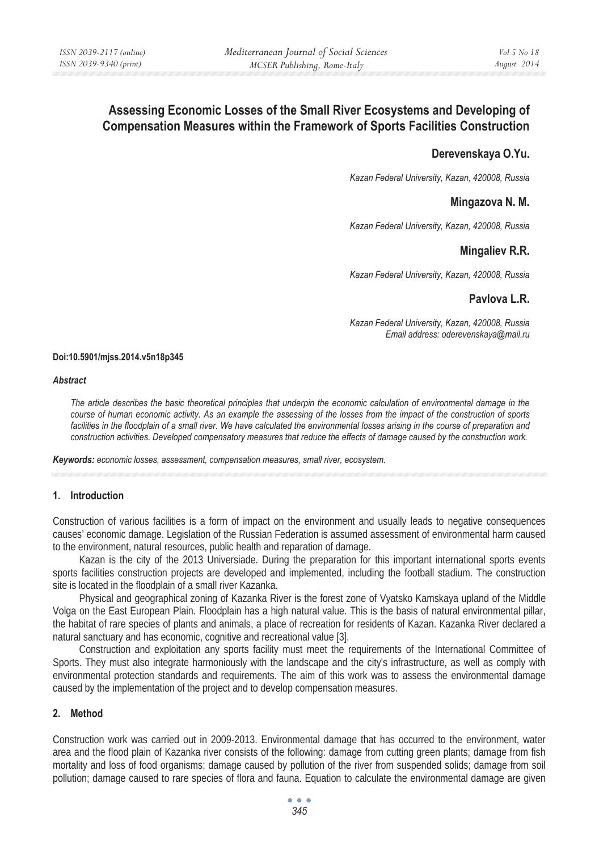# **Assessing Economic Losses of the Small River Ecosystems and Developing of Compensation Measures within the Framework of Sports Facilities Construction**

# **Derevenskaya O.Yu.**

*Kazan Federal University, Kazan, 420008, Russia* 

## **Mingazova N. M.**

*Kazan Federal University, Kazan, 420008, Russia* 

# **Mingaliev R.R.**

*Kazan Federal University, Kazan, 420008, Russia* 

# **Pavlova L.R.**

*Kazan Federal University, Kazan, 420008, Russia Email address: oderevenskaya@mail.ru* 

#### **Doi:10.5901/mjss.2014.v5n18p345**

#### *Abstract*

*The article describes the basic theoretical principles that underpin the economic calculation of environmental damage in the course of human economic activity. As an example the assessing of the losses from the impact of the construction of sports*  facilities in the floodplain of a small river. We have calculated the environmental losses arising in the course of preparation and *construction activities. Developed compensatory measures that reduce the effects of damage caused by the construction work.* 

*Keywords: economic losses, assessment, compensation measures, small river, ecosystem.* 

### **1. Introduction**

Construction of various facilities is a form of impact on the environment and usually leads to negative consequences causes' economic damage. Legislation of the Russian Federation is assumed assessment of environmental harm caused to the environment, natural resources, public health and reparation of damage.

Kazan is the city of the 2013 Universiade. During the preparation for this important international sports events sports facilities construction projects are developed and implemented, including the football stadium. The construction site is located in the floodplain of a small river Kazanka.

Physical and geographical zoning of Kazanka River is the forest zone of Vyatsko Kamskaya upland of the Middle Volga on the East European Plain. Floodplain has a high natural value. This is the basis of natural environmental pillar, the habitat of rare species of plants and animals, a place of recreation for residents of Kazan. Kazanka River declared a natural sanctuary and has economic, cognitive and recreational value [3].

Construction and exploitation any sports facility must meet the requirements of the International Committee of Sports. They must also integrate harmoniously with the landscape and the city's infrastructure, as well as comply with environmental protection standards and requirements. The aim of this work was to assess the environmental damage caused by the implementation of the project and to develop compensation measures.

### **2. Method**

Construction work was carried out in 2009-2013. Environmental damage that has occurred to the environment, water area and the flood plain of Kazanka river consists of the following: damage from cutting green plants; damage from fish mortality and loss of food organisms; damage caused by pollution of the river from suspended solids; damage from soil pollution; damage caused to rare species of flora and fauna. Equation to calculate the environmental damage are given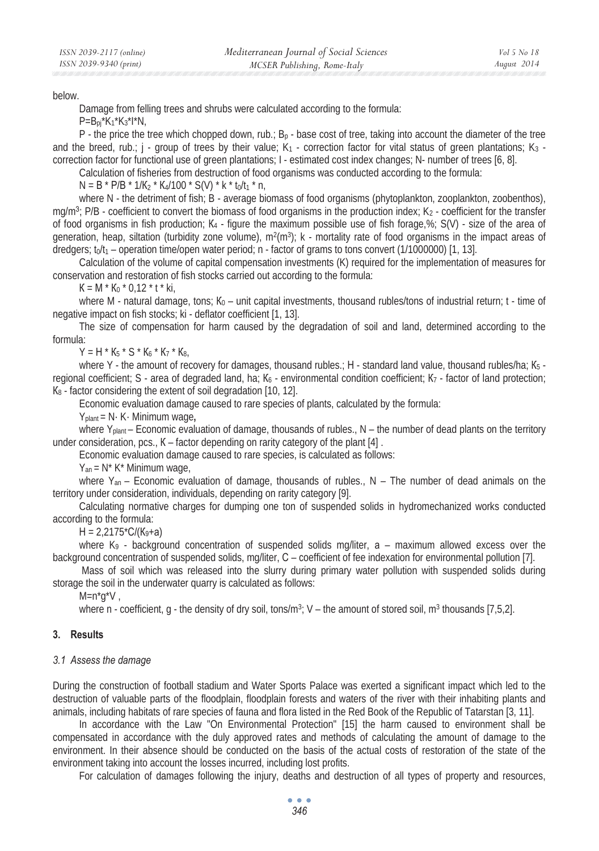below.

Damage from felling trees and shrubs were calculated according to the formula:

 $P=B_{01}K_1*K_3*1*N$ ,

P - the price the tree which chopped down, rub.;  $B_p$  - base cost of tree, taking into account the diameter of the tree and the breed, rub.;  $j$  - group of trees by their value;  $K_1$  - correction factor for vital status of green plantations;  $K_3$  correction factor for functional use of green plantations; I - estimated cost index changes; N- number of trees [6, 8].

Calculation of fisheries from destruction of food organisms was conducted according to the formula:

 $N = B * P/B * 1/K_2 * K_4/100 * S(V) * k * t_0/t_1 * n$ ,

where N - the detriment of fish; B - average biomass of food organisms (phytoplankton, zooplankton, zoobenthos),  $mq/m<sup>3</sup>; P/B$  - coefficient to convert the biomass of food organisms in the production index;  $K<sub>2</sub>$  - coefficient for the transfer of food organisms in fish production;  $K_4$  - figure the maximum possible use of fish forage, %;  $S(V)$  - size of the area of generation, heap, siltation (turbidity zone volume),  $m^2(m^3)$ ; k - mortality rate of food organisms in the impact areas of dredgers; t<sub>0</sub>/t<sub>1</sub> – operation time/open water period; n - factor of grams to tons convert (1/1000000) [1, 13].

Calculation of the volume of capital compensation investments (K) required for the implementation of measures for conservation and restoration of fish stocks carried out according to the formula:

 $K = M * K_0 * 0.12 * t * k$ i,

where M - natural damage, tons;  $K_0$  – unit capital investments, thousand rubles/tons of industrial return;  $t$  - time of negative impact on fish stocks; ki - deflator coefficient [1, 13].

The size of compensation for harm caused by the degradation of soil and land, determined according to the formula:

 $Y = H * K_5 * S * K_6 * K_7 * K_8,$ 

where Y - the amount of recovery for damages, thousand rubles.;  $H$  - standard land value, thousand rubles/ha;  $K_5$  regional coefficient; S - area of degraded land, ha;  $K_6$  - environmental condition coefficient;  $K_7$  - factor of land protection; K<sub>8</sub> - factor considering the extent of soil degradation [10, 12].

Economic evaluation damage caused to rare species of plants, calculated by the formula:

Yplant = N· K· Minimum wage**,** 

where  $Y_{\text{plant}}$  – Economic evaluation of damage, thousands of rubles.,  $N$  – the number of dead plants on the territory under consideration, pcs.,  $K -$  factor depending on rarity category of the plant [4].

Economic evaluation damage caused to rare species, is calculated as follows:

 $Y_{an} = N^* K^*$  Minimum wage,

where  $Y_{an}$  – Economic evaluation of damage, thousands of rubles.,  $N$  – The number of dead animals on the territory under consideration, individuals, depending on rarity category [9].

Calculating normative charges for dumping one ton of suspended solids in hydromechanized works conducted according to the formula:

 $H = 2.2175 \text{K}$ /(K<sub>9+a</sub>)

where  $K_9$  - background concentration of suspended solids mg/liter,  $a$  – maximum allowed excess over the background concentration of suspended solids, mg/liter, C – coefficient of fee indexation for environmental pollution [7].

 Mass of soil which was released into the slurry during primary water pollution with suspended solids during storage the soil in the underwater quarry is calculated as follows:

 $M=n^*q^*V$ ,

where n - coefficient, q - the density of dry soil, tons/m<sup>3</sup>; V – the amount of stored soil, m<sup>3</sup> thousands [7,5,2].

### **3. Results**

### *3.1 Assess the damage*

During the construction of football stadium and Water Sports Palace was exerted a significant impact which led to the destruction of valuable parts of the floodplain, floodplain forests and waters of the river with their inhabiting plants and animals, including habitats of rare species of fauna and flora listed in the Red Book of the Republic of Tatarstan [3, 11].

In accordance with the Law "On Environmental Protection" [15] the harm caused to environment shall be compensated in accordance with the duly approved rates and methods of calculating the amount of damage to the environment. In their absence should be conducted on the basis of the actual costs of restoration of the state of the environment taking into account the losses incurred, including lost profits.

For calculation of damages following the injury, deaths and destruction of all types of property and resources,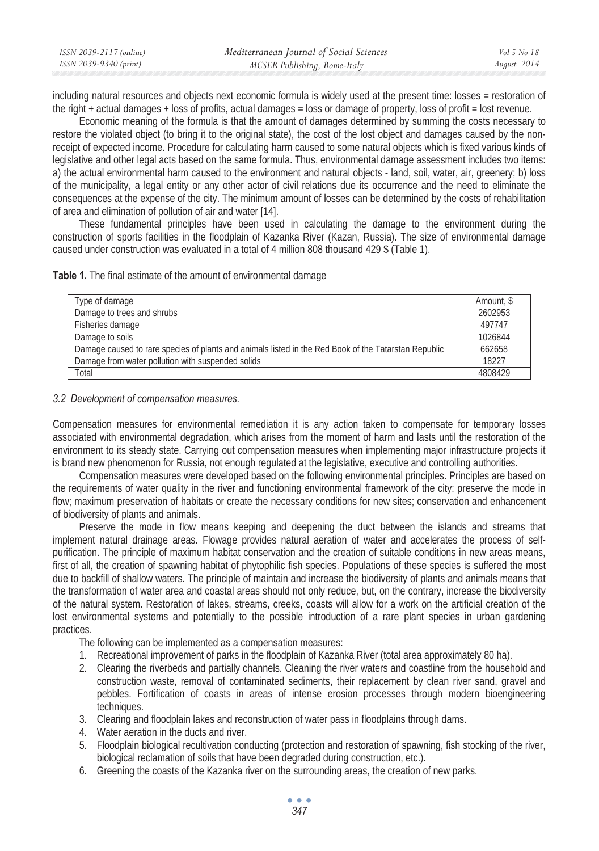| ISSN 2039-2117 (online) | Mediterranean Journal of Social Sciences | Vol 5 No 18 |
|-------------------------|------------------------------------------|-------------|
| ISSN 2039-9340 (print)  | MCSER Publishing, Rome-Italy             | August 2014 |

including natural resources and objects next economic formula is widely used at the present time: losses = restoration of the right + actual damages + loss of profits, actual damages = loss or damage of property, loss of profit = lost revenue.

Economic meaning of the formula is that the amount of damages determined by summing the costs necessary to restore the violated object (to bring it to the original state), the cost of the lost object and damages caused by the nonreceipt of expected income. Procedure for calculating harm caused to some natural objects which is fixed various kinds of legislative and other legal acts based on the same formula. Thus, environmental damage assessment includes two items: a) the actual environmental harm caused to the environment and natural objects - land, soil, water, air, greenery; b) loss of the municipality, a legal entity or any other actor of civil relations due its occurrence and the need to eliminate the consequences at the expense of the city. The minimum amount of losses can be determined by the costs of rehabilitation of area and elimination of pollution of air and water [14].

These fundamental principles have been used in calculating the damage to the environment during the construction of sports facilities in the floodplain of Kazanka River (Kazan, Russia). The size of environmental damage caused under construction was evaluated in a total of 4 million 808 thousand 429 \$ (Table 1).

**Table 1.** The final estimate of the amount of environmental damage

| Type of damage                                                                                       | Amount, \$ |
|------------------------------------------------------------------------------------------------------|------------|
| Damage to trees and shrubs                                                                           | 2602953    |
| Fisheries damage                                                                                     | 497747     |
| Damage to soils                                                                                      | 1026844    |
| Damage caused to rare species of plants and animals listed in the Red Book of the Tatarstan Republic | 662658     |
| Damage from water pollution with suspended solids                                                    | 18227      |
| Total                                                                                                | 4808429    |

#### *3.2 Development of compensation measures.*

Compensation measures for environmental remediation it is any action taken to compensate for temporary losses associated with environmental degradation, which arises from the moment of harm and lasts until the restoration of the environment to its steady state. Carrying out compensation measures when implementing major infrastructure projects it is brand new phenomenon for Russia, not enough regulated at the legislative, executive and controlling authorities.

Compensation measures were developed based on the following environmental principles. Principles are based on the requirements of water quality in the river and functioning environmental framework of the city: preserve the mode in flow; maximum preservation of habitats or create the necessary conditions for new sites; conservation and enhancement of biodiversity of plants and animals.

Preserve the mode in flow means keeping and deepening the duct between the islands and streams that implement natural drainage areas. Flowage provides natural aeration of water and accelerates the process of selfpurification. The principle of maximum habitat conservation and the creation of suitable conditions in new areas means, first of all, the creation of spawning habitat of phytophilic fish species. Populations of these species is suffered the most due to backfill of shallow waters. The principle of maintain and increase the biodiversity of plants and animals means that the transformation of water area and coastal areas should not only reduce, but, on the contrary, increase the biodiversity of the natural system. Restoration of lakes, streams, creeks, coasts will allow for a work on the artificial creation of the lost environmental systems and potentially to the possible introduction of a rare plant species in urban gardening practices.

The following can be implemented as a compensation measures:

- 1. Recreational improvement of parks in the floodplain of Kazanka River (total area approximately 80 ha).
- 2. Clearing the riverbeds and partially channels. Cleaning the river waters and coastline from the household and construction waste, removal of contaminated sediments, their replacement by clean river sand, gravel and pebbles. Fortification of coasts in areas of intense erosion processes through modern bioengineering techniques.
- 3. Clearing and floodplain lakes and reconstruction of water pass in floodplains through dams.
- 4. Water aeration in the ducts and river.
- 5. Floodplain biological recultivation conducting (protection and restoration of spawning, fish stocking of the river, biological reclamation of soils that have been degraded during construction, etc.).
- 6. Greening the coasts of the Kazanka river on the surrounding areas, the creation of new parks.